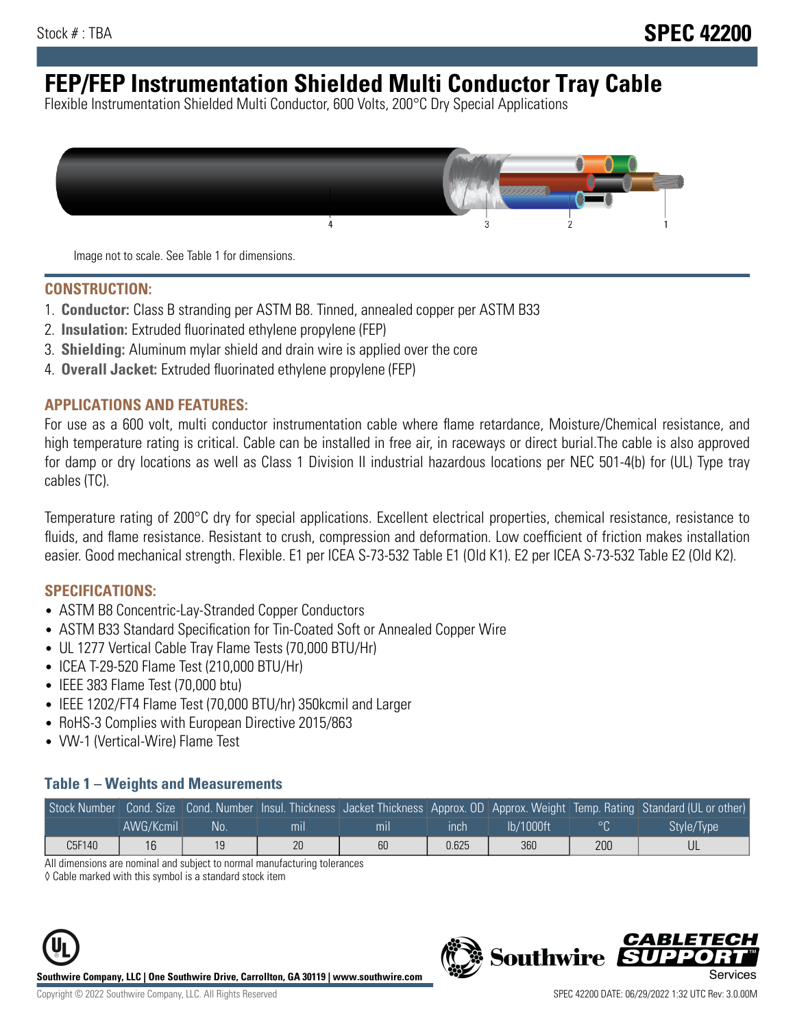# **FEP/FEP Instrumentation Shielded Multi Conductor Tray Cable**

Flexible Instrumentation Shielded Multi Conductor, 600 Volts, 200°C Dry Special Applications



Image not to scale. See Table 1 for dimensions.

#### **CONSTRUCTION:**

- 1. **Conductor:** Class B stranding per ASTM B8. Tinned, annealed copper per ASTM B33
- 2. **Insulation:** Extruded fluorinated ethylene propylene (FEP)
- 3. **Shielding:** Aluminum mylar shield and drain wire is applied over the core
- 4. **Overall Jacket:** Extruded fluorinated ethylene propylene (FEP)

#### **APPLICATIONS AND FEATURES:**

For use as a 600 volt, multi conductor instrumentation cable where flame retardance, Moisture/Chemical resistance, and high temperature rating is critical. Cable can be installed in free air, in raceways or direct burial.The cable is also approved for damp or dry locations as well as Class 1 Division II industrial hazardous locations per NEC 501-4(b) for (UL) Type tray cables (TC).

Temperature rating of 200°C dry for special applications. Excellent electrical properties, chemical resistance, resistance to fluids, and flame resistance. Resistant to crush, compression and deformation. Low coefficient of friction makes installation easier. Good mechanical strength. Flexible. E1 per ICEA S-73-532 Table E1 (Old K1). E2 per ICEA S-73-532 Table E2 (Old K2).

#### **SPECIFICATIONS:**

- ASTM B8 Concentric-Lay-Stranded Copper Conductors
- ASTM B33 Standard Specification for Tin-Coated Soft or Annealed Copper Wire
- UL 1277 Vertical Cable Tray Flame Tests (70,000 BTU/Hr)
- ICEA T-29-520 Flame Test (210,000 BTU/Hr)
- IEEE 383 Flame Test (70,000 btu)
- IEEE 1202/FT4 Flame Test (70,000 BTU/hr) 350kcmil and Larger
- RoHS-3 Complies with European Directive 2015/863
- VW-1 (Vertical-Wire) Flame Test

#### **Table 1 – Weights and Measurements**

|        |           |      |     |     |       |              |     | Stock Number Cond. Size Cond. Number Insul. Thickness Jacket Thickness Approx. OD Approx. Weight Temp. Rating Standard (UL or other) |
|--------|-----------|------|-----|-----|-------|--------------|-----|--------------------------------------------------------------------------------------------------------------------------------------|
|        | AWG/Kcmil | .No: | mil | mıl | ınch  | $lb/1000$ ft |     | Style/Type                                                                                                                           |
| C5F140 | 16        |      | 20  | 60  | 0.625 | 360          | 200 |                                                                                                                                      |

All dimensions are nominal and subject to normal manufacturing tolerances

◊ Cable marked with this symbol is a standard stock item





CARLET